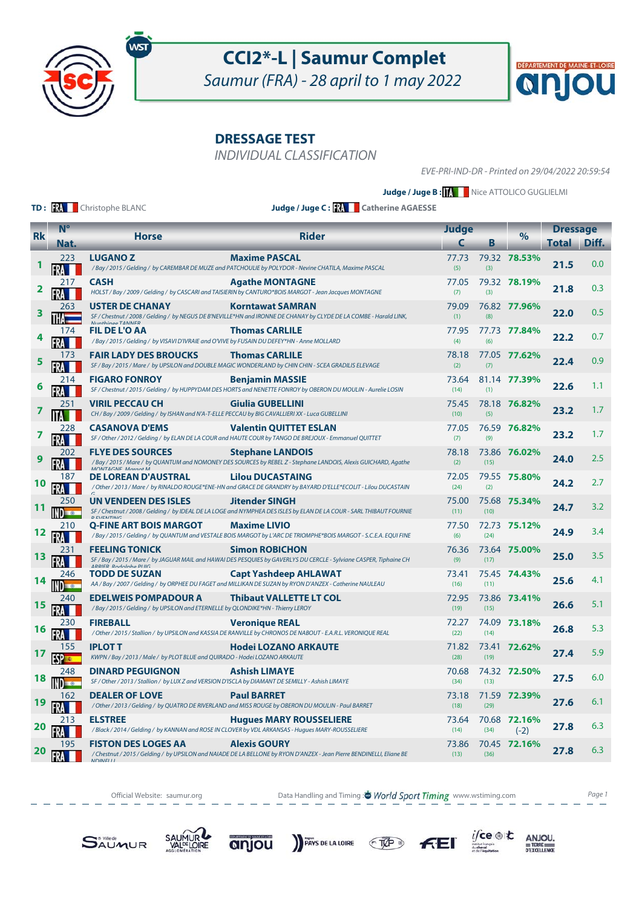

Saumur (FRA) - 28 april to 1 may 2022

**DRESSAGE TEST**

INDIVIDUAL CLASSIFICATION

EVE-PRI-IND-DR - Printed on 29/04/2022 20:59:54

 $|{\bf Q}|$ 

DÉPARTEMENT DE MAINE-ET-LOIRE

**Judge / Juge B : KNNNN** Nice ATTOLICO GUGLIELMI

**TD: RA** Christophe BLANC

**Judge / Juge C : Catherine AGAESSE**

| <b>Rk</b> | $N^{\circ}$          |                                                                                                                              | <b>Rider</b>                                                                                                                                                         |               | Judge |                        | <b>Dressage</b> |       |
|-----------|----------------------|------------------------------------------------------------------------------------------------------------------------------|----------------------------------------------------------------------------------------------------------------------------------------------------------------------|---------------|-------|------------------------|-----------------|-------|
|           | Nat.                 | <b>Horse</b>                                                                                                                 |                                                                                                                                                                      | C             | Β     | $\%$                   | Total           | Diff. |
|           | 223                  | <b>LUGANOZ</b>                                                                                                               | <b>Maxime PASCAL</b><br>/Bay/2015/Gelding/ by CAREMBAR DE MUZE and PATCHOULIE by POLYDOR - Nevine CHATILA, Maxime PASCAL                                             | 77.73<br>(5)  | (3)   | 79.32 78.53%           | 21.5            | 0.0   |
|           | 217                  | <b>CASH</b>                                                                                                                  | <b>Agathe MONTAGNE</b><br>HOLST / Bay / 2009 / Gelding / by CASCARI and TAISIERIN by CANTURO*BOIS MARGOT - Jean Jacques MONTAGNE                                     | 77.05<br>(7)  | (3)   | 79.32 78.19%           | 21.8            | 0.3   |
| 3         | 263                  | <b>USTER DE CHANAY</b><br>Munthings TANNIED                                                                                  | <b>Korntawat SAMRAN</b><br>SF / Chestnut / 2008 / Gelding / by NEGUS DE B'NEVILLE*HN and IRONNE DE CHANAY by CLYDE DE LA COMBE - Harald LINK,                        | 79.09<br>(1)  | (8)   | 76.82 77.96%           | 22.0            | 0.5   |
|           | 174                  | <b>FIL DE L'O AA</b><br>/ Bay / 2015 / Gelding / by VISAVI D'IVRAIE and O'VIVE by FUSAIN DU DEFEY*HN - Anne MOLLARD          | <b>Thomas CARLILE</b>                                                                                                                                                | 77.95<br>(4)  | (6)   | 77.73 77.84%           | 22.2            | 0.7   |
|           | 173                  | <b>FAIR LADY DES BROUCKS</b>                                                                                                 | <b>Thomas CARLILE</b><br>SF / Bay / 2015 / Mare / by UPSILON and DOUBLE MAGIC WONDERLAND by CHIN CHIN - SCEA GRADILIS ELEVAGE                                        | 78.18<br>(2)  | (7)   | 77.05 77.62%           | 22.4            | 0.9   |
|           | 214                  | <b>FIGARO FONROY</b>                                                                                                         | <b>Benjamin MASSIE</b><br>SF / Chestnut / 2015 / Gelding / by HUPPYDAM DES HORTS and NENETTE FONROY by OBERON DU MOULIN - Aurelie LOSIN                              | 73.64<br>(14) | (1)   | 81.14 77.39%           | 22.6            | 1.1   |
|           | 251                  | <b>VIRIL PECCAU CH</b><br>CH / Bay / 2009 / Gelding / by ISHAN and N'A-T-ELLE PECCAU by BIG CAVALLIERI XX - Luca GUBELLINI   | Giulia GUBELLINI                                                                                                                                                     | 75.45<br>(10) | (5)   | 78.18 76.82%           | 23.2            | 1.7   |
| 7         | 228                  | <b>CASANOVA D'EMS</b>                                                                                                        | <b>Valentin QUITTET ESLAN</b><br>SF / Other / 2012 / Gelding / by ELAN DE LA COUR and HAUTE COUR by TANGO DE BREJOUX - Emmanuel QUITTET                              | 77.05<br>(7)  | (9)   | 76.59 76.82%           | 23.2            | 1.7   |
|           | 202                  | <b>FLYE DES SOURCES</b>                                                                                                      | <b>Stephane LANDOIS</b><br>/ Bay / 2015 / Mare / by QUANTUM and NOMONEY DES SOURCES by REBEL Z - Stephane LANDOIS, Alexis GUICHARD, Agathe<br>MONITAGNE Marant M     | 78.18<br>(2)  | (15)  | 73.86 76.02%           | 24.0            | 2.5   |
| 10        | 187<br>FRA           | DE LOREAN D'AUSTRAL                                                                                                          | <b>Lilou DUCASTAING</b><br>/ Other / 2013 / Mare / by RINALDO ROUGE*ENE-HN and GRACE DE GRANDRY by BAYARD D'ELLE*ECOLIT - Lilou DUCASTAIN                            | 72.05<br>(24) | (2)   | 79.55 75.80%           | 24.2            | 2.7   |
| 11        | 250<br>ND <b>and</b> | <b>UN VENDEEN DES ISLES</b><br><b>DEVENTING</b>                                                                              | <b>Jitender SINGH</b><br>SF / Chestnut / 2008 / Gelding / by IDEAL DE LA LOGE and NYMPHEA DES ISLES by ELAN DE LA COUR - SARL THIBAUT FOURNIE                        | 75.00<br>(11) | (10)  | 75.68 75.34%           | 24.7            | 3.2   |
| 12        | 210                  | <b>O-FINE ART BOIS MARGOT</b>                                                                                                | <b>Maxime LIVIO</b><br>/Bay / 2015 / Gelding / by QUANTUM and VESTALE BOIS MARGOT by L'ARC DE TRIOMPHE*BOIS MARGOT - S.C.E.A. EQUI FINE                              | 77.50<br>(6)  | (24)  | 72.73 75.12%           | 24.9            | 3.4   |
| 13        | 231                  | <b>FEELING TONICK</b>                                                                                                        | <b>Simon ROBICHON</b><br>SF / Bay / 2015 / Mare / by JAGUAR MAIL and HAWAI DES PESQUIES by GAVERLYS DU CERCLE - Sylviane CASPER, Tiphaine CH<br>ADDIED Bodalpha DHIC | 76.36<br>(9)  | (17)  | 73.64 75.00%           | 25.0            | 3.5   |
| 14        | 246<br><b>INDEX</b>  | <b>TODD DE SUZAN</b>                                                                                                         | <b>Capt Yashdeep AHLAWAT</b><br>AA / Bay / 2007 / Gelding / by ORPHEE DU FAGET and MILLIKAN DE SUZAN by RYON D'ANZEX - Catherine NAULEAU                             | 73.41<br>(16) | (11)  | 75.45 74.43%           | 25.6            | 4.1   |
| 15        | 240                  | <b>EDELWEIS POMPADOUR A</b><br>/Bay / 2015 / Gelding / by UPSILON and ETERNELLE by QLONDIKE*HN - Thierry LEROY               | <b>Thibaut VALLETTE LT COL</b>                                                                                                                                       | 72.95<br>(19) | (15)  | 73.86 73.41%           | 26.6            | 5.1   |
| 16        | 230                  | <b>FIREBALL</b>                                                                                                              | <b>Veronique REAL</b><br>/ Other / 2015 / Stallion / by UPSILON and KASSIA DE RANVILLE by CHRONOS DE NABOUT - E.A.R.L. VERONIQUE REAL                                | 72.27<br>(22) | (14)  | 74.09 73.18%           | 26.8            | 5.3   |
| 17        | 155                  | <b>IPLOT T</b><br>KWPN / Bay / 2013 / Male / by PLOT BLUE and QUIRADO - Hodei LOZANO ARKAUTE                                 | <b>Hodei LOZANO ARKAUTE</b>                                                                                                                                          | 71.82<br>(28) | (19)  | 73.41 72.62%           | 27.4            | 5.9   |
| 18        | 248<br><b>NDECK</b>  | <b>DINARD PEGUIGNON</b><br>SF / Other / 2013 / Stallion / by LUX Z and VERSION D'ISCLA by DIAMANT DE SEMILLY - Ashish LIMAYE | <b>Ashish LIMAYE</b>                                                                                                                                                 | 70.68<br>(34) | (13)  | 74.32 72.50%           | 27.5            | 6.0   |
| 19        | 162                  | <b>DEALER OF LOVE</b>                                                                                                        | <b>Paul BARRET</b><br>/ Other / 2013 / Gelding / by QUATRO DE RIVERLAND and MISS ROUGE by OBERON DU MOULIN - Paul BARRET                                             | 73.18<br>(18) | (29)  | 71.59 72.39%           | 27.6            | 6.1   |
|           | 213                  | <b>ELSTREE</b>                                                                                                               | <b>Hugues MARY ROUSSELIERE</b><br>/Black / 2014 / Gelding / by KANNAN and ROSE IN CLOVER by VDL ARKANSAS - Hugues MARY-ROUSSELIERE                                   | 73.64<br>(14) | (34)  | 70.68 72.16%<br>$(-2)$ | 27.8            | 6.3   |
| 20        | 195                  | <b>FISTON DES LOGES AA</b><br><b>NIDINIELLI</b>                                                                              | <b>Alexis GOURY</b><br>/ Chestnut / 2015 / Gelding / by UPSILON and NAIADE DE LA BELLONE by RYON D'ANZEX - Jean Pierre BENDINELLI, Eliane BE                         | 73.86<br>(13) | (36)  | 70.45 72.16%           | 27.8            | 6.3   |
|           |                      |                                                                                                                              |                                                                                                                                                                      |               |       |                        |                 |       |

Official Website: saumur.org **Data Handling and Timing : World Sport Timing** www.wstiming.com Page 1









 $F<sub>E</sub>$ 

 $\underset{\text{max}}{\text{if}} \text{ce} \otimes \text{ } \text{c}$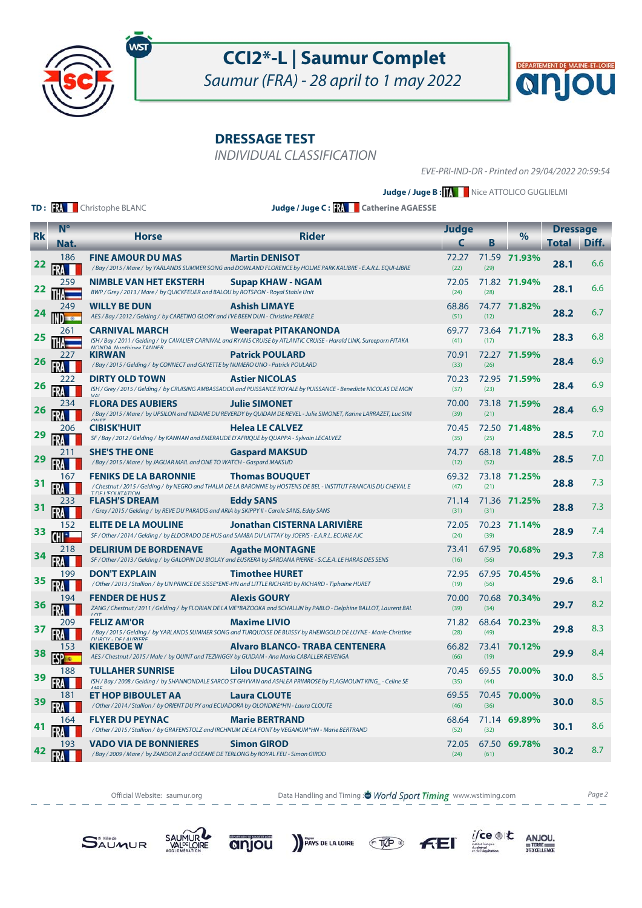

Saumur (FRA) - 28 april to 1 may 2022

**DRESSAGE TEST**

INDIVIDUAL CLASSIFICATION

EVE-PRI-IND-DR - Printed on 29/04/2022 20:59:54

 $\boldsymbol{\alpha}$ 

DÉPARTEMENT DE MAINE-ET-LOIRE

**Judge / Juge B : KNNNN** Nice ATTOLICO GUGLIELMI

**TD: RA** Christophe BLANC

**Judge / Juge C : Catherine AGAESSE**

|           | $N^{\circ}$  |                                                                                                                                    |                                                                                                                                                      | Judge         |      |              | <b>Dressage</b> |       |
|-----------|--------------|------------------------------------------------------------------------------------------------------------------------------------|------------------------------------------------------------------------------------------------------------------------------------------------------|---------------|------|--------------|-----------------|-------|
| <b>Rk</b> | Nat.         | <b>Horse</b>                                                                                                                       | <b>Rider</b>                                                                                                                                         | C             | Β    | $\%$         | Total           | Diff. |
| 22        | 186          | <b>FINE AMOUR DU MAS</b>                                                                                                           | <b>Martin DENISOT</b><br>/Bay / 2015 / Mare / by YARLANDS SUMMER SONG and DOWLAND FLORENCE by HOLME PARK KALIBRE - E.A.R.L. EQUI-LIBRE               | 72.27<br>(22) | (29) | 71.59 71.93% | 28.1            | 6.6   |
| 22        | 259          | <b>NIMBLE VAN HET EKSTERH</b><br>BWP / Grey / 2013 / Mare / by QUICKFEUER and BALOU by ROTSPON - Royal Stable Unit                 | Supap KHAW - NGAM                                                                                                                                    | 72.05<br>(24) | (28) | 71.82 71.94% | 28.1            | 6.6   |
| 24        | 249<br>$= 0$ | <b>WILLY BE DUN</b><br>AES / Bay / 2012 / Gelding / by CARETINO GLORY and I'VE BEEN DUN - Christine PEMBLE                         | <b>Ashish LIMAYE</b>                                                                                                                                 | 68.86<br>(51) | (12) | 74.77 71.82% | 28.2            | 6.7   |
|           | 261          | <b>CARNIVAL MARCH</b>                                                                                                              | <b>Weerapat PITAKANONDA</b><br>ISH / Bay / 2011 / Gelding / by CAVALIER CARNIVAL and RYANS CRUISE by ATLANTIC CRUISE - Harald LINK, Sureeporn PITAKA | 69.77<br>(41) | (17) | 73.64 71.71% | 28.3            | 6.8   |
| 26        | 227          | <b>KIRWAN</b><br>/Bay / 2015 / Gelding / by CONNECT and GAYETTE by NUMERO UNO - Patrick POULARD                                    | <b>Patrick POULARD</b>                                                                                                                               | 70.91<br>(33) | (26) | 72.27 71.59% | 28.4            | 6.9   |
| 26        | 222          | <b>DIRTY OLD TOWN</b>                                                                                                              | <b>Astier NICOLAS</b><br>ISH / Grey / 2015 / Gelding / by CRUISING AMBASSADOR and PUISSANCE ROYALE by PUISSANCE - Benedicte NICOLAS DE MON           | 70.23<br>(37) | (23) | 72.95 71.59% | 28.4            | 6.9   |
|           | 234          | $\overline{111}$<br><b>FLORA DES AUBIERS</b>                                                                                       | <b>Julie SIMONET</b><br>/Bay / 2015 / Mare / by UPSILON and NIDAME DU REVERDY by QUIDAM DE REVEL - Julie SIMONET, Karine LARRAZET, Luc SIM           | 70.00<br>(39) | (21) | 73.18 71.59% | 28.4            | 6.9   |
|           | 206          | OMET<br><b>CIBISK'HUIT</b><br>SF / Bay / 2012 / Gelding / by KANNAN and EMERAUDE D'AFRIQUE by QUAPPA - Sylvain LECALVEZ            | <b>Helea LE CALVEZ</b>                                                                                                                               | 70.45<br>(35) | (25) | 72.50 71.48% | 28.5            | 7.0   |
| 29        | 211          | <b>SHE'S THE ONE</b><br>/Bay / 2015 / Mare / by JAGUAR MAIL and ONE TO WATCH - Gaspard MAKSUD                                      | <b>Gaspard MAKSUD</b>                                                                                                                                | 74.77<br>(12) | (52) | 68.18 71.48% | 28.5            | 7.0   |
|           | 167          | <b>FENIKS DE LA BARONNIE</b><br><b>TOE L'EQUITATION</b>                                                                            | <b>Thomas BOUQUET</b><br>/ Chestnut / 2015 / Gelding / by NEGRO and THALIA DE LA BARONNIE by HOSTENS DE BEL - INSTITUT FRANCAIS DU CHEVAL E          | 69.32<br>(47) | (21) | 73.18 71.25% | 28.8            | 7.3   |
| 31        | 233          | <b>FLASH'S DREAM</b><br>/Grey/2015/Gelding/ by REVE DU PARADIS and ARIA by SKIPPY II - Carole SANS, Eddy SANS                      | <b>Eddy SANS</b>                                                                                                                                     | 71.14<br>(31) | (31) | 71.36 71.25% | 28.8            | 7.3   |
| 33        | 152          | <b>ELITE DE LA MOULINE</b><br>SF / Other / 2014 / Gelding / by ELDORADO DE HUS and SAMBA DU LATTAY by JOERIS - E.A.R.L. ECURIE AJC | <b>Jonathan CISTERNA LARIVIÈRE</b>                                                                                                                   | 72.05<br>(24) | (39) | 70.23 71.14% | 28.9            | 7.4   |
| 34        | 218          | <b>DELIRIUM DE BORDENAVE</b>                                                                                                       | <b>Agathe MONTAGNE</b><br>SF / Other / 2013 / Gelding / by GALOPIN DU BIOLAY and EUSKERA by SARDANA PIERRE - S.C.E.A. LE HARAS DES SENS              | 73.41<br>(16) | (56) | 67.95 70.68% | 29.3            | 7.8   |
| 35        | 199          | <b>DON'T EXPLAIN</b>                                                                                                               | <b>Timothee HURET</b><br>/ Other / 2013 / Stallion / by UN PRINCE DE SISSE*ENE-HN and LITTLE RICHARD by RICHARD - Tiphaine HURET                     | 72.95<br>(19) | (56) | 67.95 70.45% | 29.6            | 8.1   |
| 36        | 194          | <b>FENDER DE HUS Z</b><br>$1 \cap T$                                                                                               | <b>Alexis GOURY</b><br>ZANG / Chestnut / 2011 / Gelding / by FLORIAN DE LA VIE*BAZOOKA and SCHALLIN by PABLO - Delphine BALLOT, Laurent BAL          | 70.00<br>(39) | (34) | 70.68 70.34% | 29.7            | 8.2   |
| 37        | 209<br>FRA   | <b>FELIZ AM'OR</b><br><b>NIDOV DEI AIIDIEDE</b>                                                                                    | <b>Maxime LIVIO</b><br>/Bay / 2015 / Gelding / by YARLANDS SUMMER SONG and TURQUOISE DE BUISSY by RHEINGOLD DE LUYNE - Marie-Christine               | 71.82<br>(28) | (49) | 68.64 70.23% | 29.8            | 8.3   |
| 38        | 153          | <b>KIEKEBOE W</b><br>AES / Chestnut / 2015 / Male / by QUINT and TEZWIGGY by GUIDAM - Ana Maria CABALLER REVENGA                   | <b>Alvaro BLANCO- TRABA CENTENERA</b>                                                                                                                | 66.82<br>(66) | (19) | 73.41 70.12% | 29.9            | 8.4   |
| 39        | 188          | <b>TULLAHER SUNRISE</b>                                                                                                            | <b>Lilou DUCASTAING</b><br>ISH / Bay / 2008 / Gelding / by SHANNONDALE SARCO ST GHYVAN and ASHLEA PRIMROSE by FLAGMOUNT KING_- Celine SE             | 70.45<br>(35) | (44) | 69.55 70.00% | 30.0            | 8.5   |
|           | 181          | ET HOP BIBOULET AA<br>/ Other / 2014 / Stallion / by ORIENT DU PY and ECUADORA by QLONDIKE*HN - Laura CLOUTE                       | <b>Laura CLOUTE</b>                                                                                                                                  | 69.55<br>(46) | (36) | 70.45 70.00% | 30.0            | 8.5   |
|           | 164          | <b>FLYER DU PEYNAC</b>                                                                                                             | <b>Marie BERTRAND</b><br>/ Other / 2015 / Stallion / by GRAFENSTOLZ and IRCHNUM DE LA FONT by VEGANUM*HN - Marie BERTRAND                            | 68.64<br>(52) | (32) | 71.14 69.89% | 30.1            | 8.6   |
| 42        | 193          | <b>VADO VIA DE BONNIERES</b><br>/Bay / 2009 / Mare / by ZANDOR Z and OCEANE DE TERLONG by ROYAL FEU - Simon GIROD                  | <b>Simon GIROD</b>                                                                                                                                   | 72.05<br>(24) | (61) | 67.50 69.78% | 30.2            | 8.7   |

Official Website: saumur.org **Data Handling and Timing : World Sport Timing** www.wstiming.com Page 2











 $i\mathsf{fce} \circledast \mathsf{t}$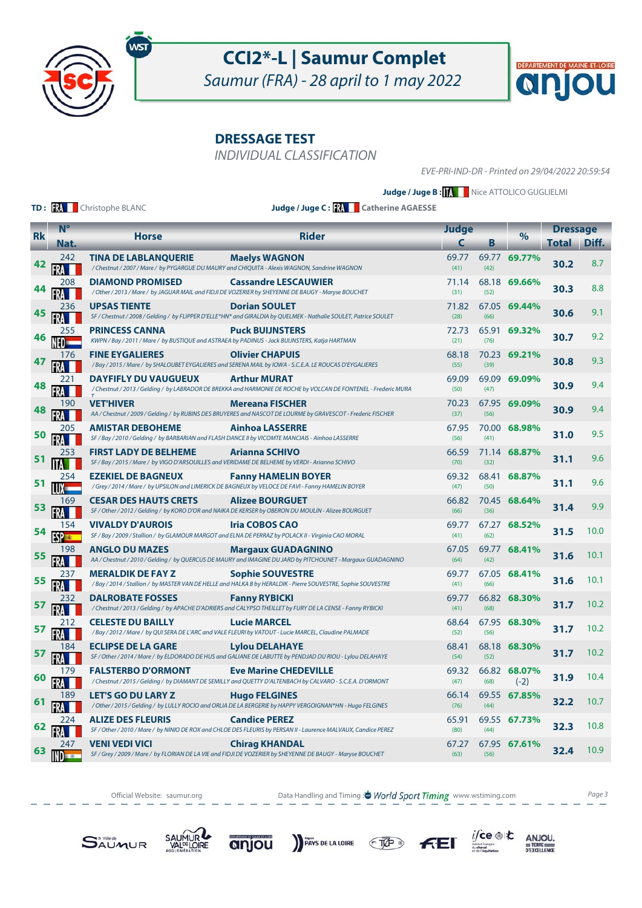

Saumur (FRA) - 28 april to 1 may 2022

**DRESSAGE TEST**

INDIVIDUAL CLASSIFICATION

EVE-PRI-IND-DR - Printed on 29/04/2022 20:59:54

 $\boldsymbol{\alpha}$ 

DÉPARTEMENT DE MAINE-ET-LOIRE

**Judge / Juge B : KNNNN** Nice ATTOLICO GUGLIELMI

**TD: RA** Christophe BLANC

**Judge / Juge C : Catherine AGAESSE**

|           | $N^{\circ}$         | <b>Judge</b>                                                                                                                    |                                                                                                                                          |               | <b>Dressage</b> |                        |       |       |
|-----------|---------------------|---------------------------------------------------------------------------------------------------------------------------------|------------------------------------------------------------------------------------------------------------------------------------------|---------------|-----------------|------------------------|-------|-------|
| <b>Rk</b> | Nat.                | <b>Horse</b>                                                                                                                    | <b>Rider</b>                                                                                                                             | C             | В               | $\%$                   | Total | Diff. |
|           | 242                 | <b>TINA DE LABLANQUERIE</b><br>/ Chestnut / 2007 / Mare / by PYGARGUE DU MAURY and CHIQUITA - Alexis WAGNON, Sandrine WAGNON    | <b>Maelys WAGNON</b>                                                                                                                     | 69.77<br>(41) | (42)            | 69.77 69.77%           | 30.2  | 8.7   |
| 44        | 208                 | <b>DIAMOND PROMISED</b>                                                                                                         | <b>Cassandre LESCAUWIER</b><br>/ Other / 2013 / Mare / by JAGUAR MAIL and FIDJI DE VOZERIER by SHEYENNE DE BAUGY - Maryse BOUCHET        | 71.14<br>(31) | (52)            | 68.18 69.66%           | 30.3  | 8.8   |
| 45        | 236                 | <b>UPSAS TIENTE</b>                                                                                                             | <b>Dorian SOULET</b><br>SF / Chestnut / 2008 / Gelding / by FLIPPER D'ELLE*HN* and GIRALDIA by QUELMEK - Nathalie SOULET, Patrice SOULET | 71.82<br>(28) | (66)            | 67.05 69.44%           | 30.6  | 9.1   |
|           | 255                 | <b>PRINCESS CANNA</b><br>KWPN / Bay / 2011 / Mare / by BUSTIQUE and ASTRAEA by PADINUS - Jack BUIJNSTERS, Katja HARTMAN         | <b>Puck BUIJNSTERS</b>                                                                                                                   | 72.73<br>(21) | (76)            | 65.91 69.32%           | 30.7  | 9.2   |
|           | 176<br>FRA          | <b>FINE EYGALIERES</b>                                                                                                          | <b>Olivier CHAPUIS</b><br>/ Bay / 2015 / Mare / by SHALOUBET EYGALIERES and SERENA MAIL by IOWA - S.C.E.A. LE ROUCAS D'EYGALIERES        | 68.18<br>(55) | (39)            | 70.23 69.21%           | 30.8  | 9.3   |
| 48        | 221                 | <b>DAYFIFLY DU VAUGUEUX</b>                                                                                                     | <b>Arthur MURAT</b><br>/Chestnut / 2013 / Gelding / by LABRADOR DE BREKKA and HARMONIE DE ROCHE by VOLCAN DE FONTENEL - Frederic MURA    | 69.09<br>(50) | (47)            | 69.09 69.09%           | 30.9  | 9.4   |
| 48        | 190                 | <b>VET'HIVER</b>                                                                                                                | <b>Mereana FISCHER</b><br>AA / Chestnut / 2009 / Gelding / by RUBINS DES BRUYERES and NASCOT DE LOURME by GRAVESCOT - Frederic FISCHER   | 70.23<br>(37) | (56)            | 67.95 69.09%           | 30.9  | 9.4   |
| 50        | 205                 | <b>AMISTAR DEBOHEME</b><br>SF / Bay / 2010 / Gelding / by BARBARIAN and FLASH DANCE II by VICOMTE MANCIAIS - Ainhoa LASSERRE    | <b>Ainhoa LASSERRE</b>                                                                                                                   | 67.95<br>(56) | (41)            | 70.00 68.98%           | 31.0  | 9.5   |
| 51        | 253                 | <b>FIRST LADY DE BELHEME</b><br>SF / Bay / 2015 / Mare / by VIGO D'ARSOUILLES and VERIDAME DE BELHEME by VERDI - Arianna SCHIVO | <b>Arianna SCHIVO</b>                                                                                                                    | 66.59<br>(70) | (32)            | 71.14 68.87%           | 31.1  | 9.6   |
| 51        | 254                 | <b>EZEKIEL DE BAGNEUX</b>                                                                                                       | <b>Fanny HAMELIN BOYER</b><br>/ Grey / 2014 / Mare / by UPSILON and LIMERICK DE BAGNEUX by VELOCE DE FAVI - Fanny HAMELIN BOYER          | 69.32<br>(47) | (50)            | 68.41 68.87%           | 31.1  | 9.6   |
| 53        | 169                 | <b>CESAR DES HAUTS CRETS</b>                                                                                                    | <b>Alizee BOURGUET</b><br>SF / Other / 2012 / Gelding / by KORO D'OR and NAIKA DE KERSER by OBERON DU MOULIN - Alizee BOURGUET           | 66.82<br>(66) | (36)            | 70.45 68.64%           | 31.4  | 9.9   |
| 54        | 154                 | <b>VIVALDY D'AUROIS</b><br>SF / Bay / 2009 / Stallion / by GLAMOUR MARGOT and ELNA DE PERRAZ by POLACK II - Virginia CAO MORAL  | <b>Iria COBOS CAO</b>                                                                                                                    | 69.77<br>(41) | (62)            | 67.27 68.52%           | 31.5  | 10.0  |
| 55        | 198<br>FRA          | <b>ANGLO DU MAZES</b>                                                                                                           | <b>Margaux GUADAGNINO</b><br>AA / Chestnut / 2010 / Gelding / by QUERCUS DE MAURY and IMAGINE DU JARD by PITCHOUNET - Margaux GUADAGNINO | 67.05<br>(64) | (42)            | 69.77 68.41%           | 31.6  | 10.1  |
| 55        | 237                 | <b>MERALDIK DE FAY Z</b>                                                                                                        | <b>Sophie SOUVESTRE</b><br>/ Bay / 2014 / Stallion / by MASTER VAN DE HELLE and HALKA B by HERALDIK - Pierre SOUVESTRE, Sophie SOUVESTRE | 69.77<br>(41) | (66)            | 67.05 68.41%           | 31.6  | 10.1  |
| 57        | 232                 | <b>DALROBATE FOSSES</b>                                                                                                         | <b>Fanny RYBICKI</b><br>/ Chestnut / 2013 / Gelding / by APACHE D'ADRIERS and CALYPSO THEILLET by FURY DE LA CENSE - Fanny RYBICKI       | 69.77<br>(41) | (68)            | 66.82 68.30%           | 31.7  | 10.2  |
| 57        | 212<br>FRA          | <b>CELESTE DU BAILLY</b>                                                                                                        | <b>Lucie MARCEL</b><br>/ Bay / 2012 / Mare / by QUI SERA DE L'ARC and VALE FLEURI by VATOUT - Lucie MARCEL, Claudine PALMADE             | 68.64<br>(52) | (56)            | 67.95 68.30%           | 31.7  | 10.2  |
| 57        | 184                 | <b>ECLIPSE DE LA GARE</b>                                                                                                       | <b>Lylou DELAHAYE</b><br>SF / Other / 2014 / Mare / by ELDORADO DE HUS and GALIANE DE LABUTTE by PENDJAD DU RIOU - Lylou DELAHAYE        | 68.41<br>(54) | (52)            | 68.18 68.30%           | 31.7  | 10.2  |
| 60        | 179<br>FRA          | <b>FALSTERBO D'ORMONT</b>                                                                                                       | <b>Eve Marine CHEDEVILLE</b><br>/Chestnut/2015/Gelding/by DIAMANT DE SEMILLY and QUETTY D'ALTENBACH by CALVARO - S.C.E.A. D'ORMONT       | 69.32<br>(47) | (68)            | 66.82 68.07%<br>$(-2)$ | 31.9  | 10.4  |
| 61        | 189                 | <b>LET'S GO DU LARY Z</b>                                                                                                       | <b>Hugo FELGINES</b><br>/ Other / 2015 / Gelding / by LULLY ROCIO and ORLIA DE LA BERGERIE by HAPPY VERGOIGNAN*HN - Hugo FELGINES        | 66.14<br>(76) | (44)            | 69.55 67.85%           | 32.2  | 10.7  |
| 62        | 224                 | <b>ALIZE DES FLEURIS</b>                                                                                                        | <b>Candice PEREZ</b><br>SF / Other / 2010 / Mare / by NINIO DE ROX and CHLOE DES FLEURIS by PERSAN II - Laurence MALVAUX, Candice PEREZ  | 65.91<br>(80) | (44)            | 69.55 67.73%           | 32.3  | 10.8  |
| 63        | 247<br><b>INDEX</b> | <b>VENI VEDI VICI</b>                                                                                                           | <b>Chirag KHANDAL</b><br>SF / Grey / 2009 / Mare / by FLORIAN DE LA VIE and FIDJI DE VOZERIER by SHEYENNE DE BAUGY - Maryse BOUCHET      | 67.27<br>(63) | (56)            | 67.95 67.61%           | 32.4  | 10.9  |

Official Website: saumur.org **Data Handling and Timing : World Sport Timing** www.wstiming.com Page 3











 $i\mathsf{fce} \circledast \mathsf{t}$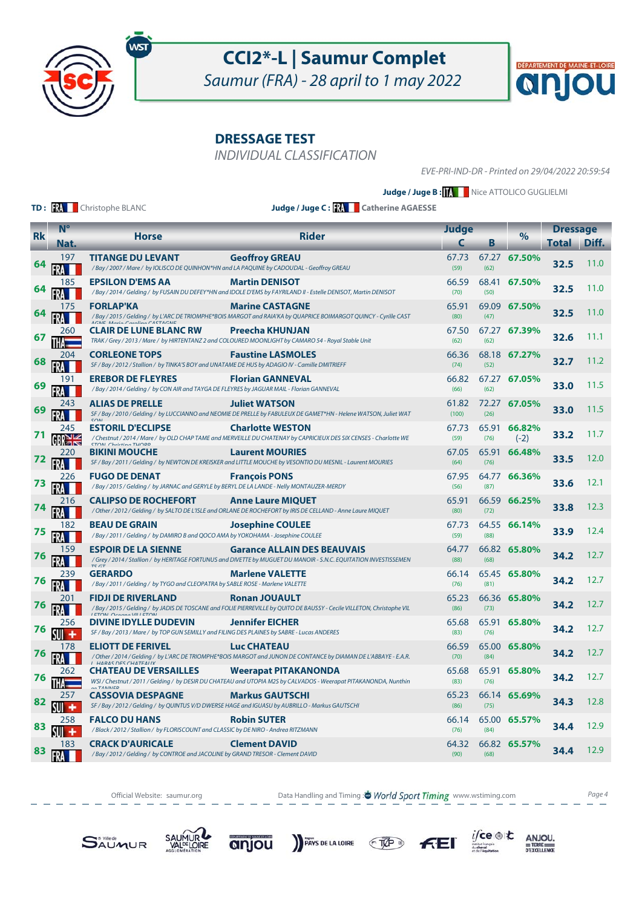

Saumur (FRA) - 28 april to 1 may 2022

**DRESSAGE TEST**

INDIVIDUAL CLASSIFICATION

EVE-PRI-IND-DR - Printed on 29/04/2022 20:59:54

 $|{\bf Q}|$ 

DÉPARTEMENT DE MAINE-ET-LOIRE

**Judge / Juge B : KNNNN** Nice ATTOLICO GUGLIELMI

**TD: RA** Christophe BLANC

**Judge / Juge C : Catherine AGAESSE**

|           | $N^{\circ}$             |                                                                                                                             |                                                                                                                                                  | <b>Judge</b>   |               |                  | <b>Dressage</b> |       |
|-----------|-------------------------|-----------------------------------------------------------------------------------------------------------------------------|--------------------------------------------------------------------------------------------------------------------------------------------------|----------------|---------------|------------------|-----------------|-------|
| <b>Rk</b> | Nat.                    | <b>Horse</b>                                                                                                                | <b>Rider</b>                                                                                                                                     | C              | В             | $\frac{9}{6}$    | Total           | Diff. |
| 64        | 197                     | <b>TITANGE DU LEVANT</b><br>/Bay / 2007 / Mare / by IOLISCO DE QUINHON*HN and LA PAQUINE by CADOUDAL - Geoffroy GREAU       | <b>Geoffroy GREAU</b>                                                                                                                            | 67.73<br>(59)  | 67.27<br>(62) | 67.50%           | 32.5            | 11.0  |
| 64        | 185                     | <b>EPSILON D'EMS AA</b>                                                                                                     | <b>Martin DENISOT</b><br>/ Bay / 2014 / Gelding / by FUSAIN DU DEFEY*HN and IDOLE D'EMS by FAYRILAND II - Estelle DENISOT, Martin DENISOT        | 66.59<br>(70)  | (50)          | 68.41 67.50%     | 32.5            | 11.0  |
|           | 175                     | <b>FORLAP'KA</b><br>ACNE Maria Carolina CASTACNE                                                                            | <b>Marine CASTAGNE</b><br>/ Bay / 2015 / Gelding / by L'ARC DE TRIOMPHE*BOIS MARGOT and RAIA'KA by QUAPRICE BOIMARGOT QUINCY - Cyrille CAST      | 65.91<br>(80)  | (47)          | 69.09 67.50%     | 32.5            | 11.0  |
| 67        | 260                     | <b>CLAIR DE LUNE BLANC RW</b>                                                                                               | Preecha KHUNJAN<br>TRAK / Grey / 2013 / Mare / by HIRTENTANZ 2 and COLOURED MOONLIGHT by CAMARO 54 - Royal Stable Unit                           | 67.50<br>(62)  | (62)          | 67.27 67.39%     | 32.6            | 11.1  |
| 68        | 204                     | <b>CORLEONE TOPS</b><br>SF / Bay / 2012 / Stallion / by TINKA'S BOY and UNATAME DE HUS by ADAGIO IV - Camille DMITRIEFF     | <b>Faustine LASMOLES</b>                                                                                                                         | 66.36<br>(74)  | (52)          | 68.18 67.27%     | 32.7            | 11.2  |
| 69        | 191                     | <b>EREBOR DE FLEYRES</b><br>/Bay / 2014 / Gelding / by CON AIR and TAYGA DE FLEYRES by JAGUAR MAIL - Florian GANNEVAL       | <b>Florian GANNEVAL</b>                                                                                                                          | 66.82<br>(66)  | (62)          | 67.27 67.05%     | 33.0            | 11.5  |
| 69        | 243                     | <b>ALIAS DE PRELLE</b>                                                                                                      | <b>Juliet WATSON</b><br>SF / Bay / 2010 / Gelding / by LUCCIANNO and NEOMIE DE PRELLE by FABULEUX DE GAMET*HN - Helene WATSON, Juliet WAT        | 61.82<br>(100) | (26)          | 72.27 67.05%     | 33.0            | 11.5  |
| 71        | 245<br>GRN <sub>K</sub> | <b>ESTORIL D'ECLIPSE</b><br><b>STOM Christing THOPP</b>                                                                     | <b>Charlotte WESTON</b><br>/Chestnut / 2014 / Mare / by OLD CHAP TAME and MERVEILLE DU CHATENAY by CAPRICIEUX DES SIX CENSES - Charlotte WE      | 67.73<br>(59)  | 65.91<br>(76) | 66.82%<br>$(-2)$ | 33.2            | 11.7  |
| 72        | 220                     | <b>BIKINI MOUCHE</b>                                                                                                        | <b>Laurent MOURIES</b><br>SF / Bay / 2011 / Gelding / by NEWTON DE KREISKER and LITTLE MOUCHE by VESONTIO DU MESNIL - Laurent MOURIES            | 67.05<br>(64)  | 65.91<br>(76) | 66.48%           | 33.5            | 12.0  |
| 73        | 226                     | <b>FUGO DE DENAT</b><br>/Bay / 2015 / Gelding / by JARNAC and GERYLE by BERYL DE LA LANDE - Nelly MONTAUZER-MERDY           | <b>François PONS</b>                                                                                                                             | 67.95<br>(56)  | (87)          | 64.77 66.36%     | 33.6            | 12.1  |
| 74        | 216                     | <b>CALIPSO DE ROCHEFORT</b>                                                                                                 | <b>Anne Laure MIQUET</b><br>/ Other / 2012 / Gelding / by SALTO DE L'ISLE and ORLANE DE ROCHEFORT by IRIS DE CELLAND - Anne Laure MIQUET         | 65.91<br>(80)  | (72)          | 66.59 66.25%     | 33.8            | 12.3  |
| 75        | 182                     | <b>BEAU DE GRAIN</b><br>/Bay / 2011 / Gelding / by DAMIRO B and QOCO AMA by YOKOHAMA - Josephine COULEE                     | <b>Josephine COULEE</b>                                                                                                                          | 67.73<br>(59)  | (88)          | 64.55 66.14%     | 33.9            | 12.4  |
| 76        | 159<br>FRA              | <b>ESPOIR DE LA SIENNE</b>                                                                                                  | <b>Garance ALLAIN DES BEAUVAIS</b><br>/Grey/2014/Stallion/by HERITAGE FORTUNUS and DIVETTE by MUGUET DU MANOIR - S.N.C. EQUITATION INVESTISSEMEN | 64.77<br>(88)  | (68)          | 66.82 65.80%     | 34.2            | 12.7  |
| 76        | 239                     | <b>GERARDO</b><br>/Bay / 2011 / Gelding / by TYGO and CLEOPATRA by SABLE ROSE - Marlene VALETTE                             | <b>Marlene VALETTE</b>                                                                                                                           | 66.14<br>(76)  | (81)          | 65.45 65.80%     | 34.2            | 12.7  |
| 76        | 201                     | <b>FIDJI DE RIVERLAND</b><br><b>I ETONI Oceano VIII ETONI</b>                                                               | <b>Ronan JOUAULT</b><br>/Bay/2015/Gelding/ by JADIS DE TOSCANE and FOLIE PIERREVILLE by QUITO DE BAUSSY - Cecile VILLETON, Christophe VIL        | 65.23<br>(86)  | (73)          | 66.36 65.80%     | 34.2            | 12.7  |
| 76        | 256<br>۰                | <b>DIVINE IDYLLE DUDEVIN</b><br>SF / Bay / 2013 / Mare / by TOP GUN SEMILLY and FILING DES PLAINES by SABRE - Lucas ANDERES | <b>Jennifer EICHER</b>                                                                                                                           | 65.68<br>(83)  | 65.91<br>(76) | 65.80%           | 34.2            | 12.7  |
| 76        | 178                     | <b>ELIOTT DE FERIVEL</b><br>$I$ <b>LIADAC NEC CLIATEALIV</b>                                                                | <b>Luc CHATEAU</b><br>/ Other / 2014 / Gelding / by L'ARC DE TRIOMPHE*BOIS MARGOT and JUNON DE CONTANCE by DIAMAN DE L'ABBAYE - E.A.R.           | 66.59<br>(70)  | (84)          | 65.00 65.80%     | 34.2            | 12.7  |
| 76        | 262                     | <b>CHATEAU DE VERSAILLES</b><br>OO TANINICO                                                                                 | <b>Weerapat PITAKANONDA</b><br>WSI / Chestnut / 2011 / Gelding / by DESIR DU CHATEAU and UTOPIA M2S by CALVADOS - Weerapat PITAKANONDA, Nunthin  | 65.68<br>(83)  | (76)          | 65.91 65.80%     | 34.2            | 12.7  |
| 82        | 257<br>۰                | <b>CASSOVIA DESPAGNE</b><br>SF / Bay / 2012 / Gelding / by QUINTUS V/D DWERSE HAGE and IGUASU by AUBRILLO - Markus GAUTSCHI | <b>Markus GAUTSCHI</b>                                                                                                                           | 65.23<br>(86)  | (75)          | 66.14 65.69%     | 34.3            | 12.8  |
| 83        | 258<br>۰                | <b>FALCO DU HANS</b><br>/Black / 2012 / Stallion / by FLORISCOUNT and CLASSIC by DE NIRO - Andrea RITZMANN                  | <b>Robin SUTER</b>                                                                                                                               | 66.14<br>(76)  | (84)          | 65.00 65.57%     | 34.4            | 12.9  |
| 83        | 183                     | <b>CRACK D'AURICALE</b><br>/Bay/2012/Gelding/by CONTROE and JACOLINE by GRAND TRESOR - Clement DAVID                        | <b>Clement DAVID</b>                                                                                                                             | 64.32<br>(90)  | (68)          | 66.82 65.57%     | 34.4            | 12.9  |

Official Website: saumur.org **Data Handling and Timing : World Sport Timing** www.wstiming.com Page 4

PAYS DE LA LOIRE TVP

 $i\mathsf{fce} \circledast \mathsf{t}$ 

 $\underset{\text{D'EXCELLING}}{\text{ANJOU}}$ 





anjou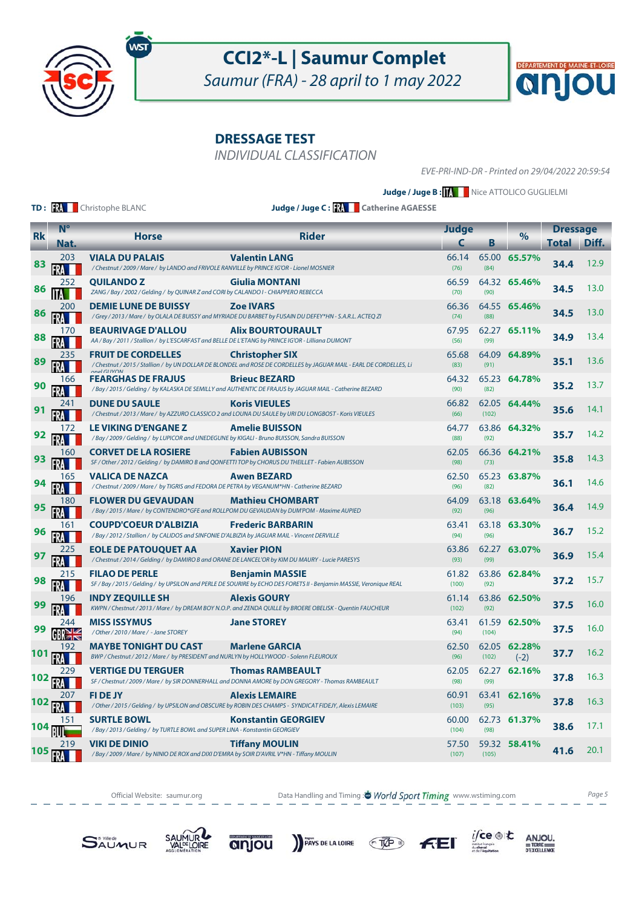

Saumur (FRA) - 28 april to 1 may 2022

**DRESSAGE TEST**

INDIVIDUAL CLASSIFICATION

EVE-PRI-IND-DR - Printed on 29/04/2022 20:59:54

 $\boldsymbol{\alpha}$ 

DÉPARTEMENT DE MAINE-ET-LOIRE

**Judge / Juge B : KNNNN** Nice ATTOLICO GUGLIELMI

**TD: RA** Christophe BLANC

**Judge / Juge C : Catherine AGAESSE**

|           | $N^{\circ}$       | <b>Judge</b>                                                                                                                    |                                                                                                                                               |                | <b>Dressage</b> |                        |       |       |
|-----------|-------------------|---------------------------------------------------------------------------------------------------------------------------------|-----------------------------------------------------------------------------------------------------------------------------------------------|----------------|-----------------|------------------------|-------|-------|
| <b>Rk</b> | Nat.              | <b>Horse</b>                                                                                                                    | Rider                                                                                                                                         | C              | В               | $\%$                   | Total | Diff. |
| 83        | 203               | <b>VIALA DU PALAIS</b><br>/ Chestnut / 2009 / Mare / by LANDO and FRIVOLE RANVILLE by PRINCE IG'OR - Lionel MOSNIER             | <b>Valentin LANG</b>                                                                                                                          | 66.14<br>(76)  | (84)            | 65.00 65.57%           | 34.4  | 12.9  |
| 86        | 252               | <b>QUILANDOZ</b><br>ZANG / Bay / 2002 / Gelding / by QUINAR Z and CORI by CALANDO I - CHIAPPERO REBECCA                         | <b>Giulia MONTANI</b>                                                                                                                         | 66.59<br>(70)  | (90)            | 64.32 65.46%           | 34.5  | 13.0  |
| 86        | 200               | <b>DEMIE LUNE DE BUISSY</b>                                                                                                     | <b>Zoe IVARS</b><br>/Grey / 2013 / Mare / by OLALA DE BUISSY and MYRIADE DU BARBET by FUSAIN DU DEFEY*HN - S.A.R.L. ACTEQ ZI                  | 66.36<br>(74)  | (88)            | 64.55 65.46%           | 34.5  | 13.0  |
| 88        | 170               | <b>BEAURIVAGE D'ALLOU</b><br>AA / Bay / 2011 / Stallion / by L'ESCARFAST and BELLE DE L'ETANG by PRINCE IG'OR - Lilliana DUMONT | <b>Alix BOURTOURAULT</b>                                                                                                                      | 67.95<br>(56)  | (99)            | 62.27 65.11%           | 34.9  | 13.4  |
| 89        | 235<br>FRA        | <b>FRUIT DE CORDELLES</b>                                                                                                       | <b>Christopher SIX</b><br>/ Chestnut / 2015 / Stallion / by UN DOLLAR DE BLONDEL and ROSE DE CORDELLES by JAGUAR MAIL - EARL DE CORDELLES, Li | 65.68<br>(83)  | (91)            | 64.09 64.89%           | 35.1  | 13.6  |
| 90        | 166               | <b>FEARGHAS DE FRAJUS</b>                                                                                                       | <b>Brieuc BEZARD</b><br>/Bay/2015/Gelding/ by KALASKA DE SEMILLY and AUTHENTIC DE FRAJUS by JAGUAR MAIL - Catherine BEZARD                    | 64.32<br>(90)  | (82)            | 65.23 64.78%           | 35.2  | 13.7  |
|           | 241               | <b>DUNE DU SAULE</b>                                                                                                            | <b>Koris VIEULES</b><br>/ Chestnut / 2013 / Mare / by AZZURO CLASSICO 2 and LOUNA DU SAULE by URI DU LONGBOST - Koris VIEULES                 | 66.82<br>(66)  | (102)           | 62.05 64.44%           | 35.6  | 14.1  |
| 92        | 172               | <b>LE VIKING D'ENGANE Z</b><br>/Bay/2009/Gelding/ by LUPICOR and UNEDEGUNE by KIGALI - Bruno BUISSON, Sandra BUISSON            | <b>Amelie BUISSON</b>                                                                                                                         | 64.77<br>(88)  | (92)            | 63.86 64.32%           | 35.7  | 14.2  |
| 93        | 160               | <b>CORVET DE LA ROSIERE</b>                                                                                                     | <b>Fabien AUBISSON</b><br>SF / Other / 2012 / Gelding / by DAMIRO B and QONFETTI TOP by CHORUS DU THEILLET - Fabien AUBISSON                  | 62.05<br>(98)  | (73)            | 66.36 64.21%           | 35.8  | 14.3  |
|           | 165               | <b>VALICA DE NAZCA</b><br>/Chestnut / 2009 / Mare / by TIGRIS and FEDORA DE PETRA by VEGANUM*HN - Catherine BEZARD              | <b>Awen BEZARD</b>                                                                                                                            | 62.50<br>(96)  | (82)            | 65.23 63.87%           | 36.1  | 14.6  |
| 95        | 180               | <b>FLOWER DU GEVAUDAN</b><br>/ Bay / 2015 / Mare / by CONTENDRO*GFE and ROLLPOM DU GEVAUDAN by DUM'POM - Maxime AUPIED          | <b>Mathieu CHOMBART</b>                                                                                                                       | 64.09<br>(92)  | (96)            | 63.18 63.64%           | 36.4  | 14.9  |
| 96        | 161               | <b>COUPD'COEUR D'ALBIZIA</b><br>/Bay / 2012 / Stallion / by CALIDOS and SINFONIE D'ALBIZIA by JAGUAR MAIL - Vincent DERVILLE    | <b>Frederic BARBARIN</b>                                                                                                                      | 63.41<br>(94)  | (96)            | 63.18 63.30%           | 36.7  | 15.2  |
| 97        | 225               | <b>EOLE DE PATOUQUET AA</b><br>/ Chestnut / 2014 / Gelding / by DAMIRO B and ORANE DE LANCEL'OR by KIM DU MAURY - Lucie PARESYS | <b>Xavier PION</b>                                                                                                                            | 63.86<br>(93)  | (99)            | 62.27 63.07%           | 36.9  | 15.4  |
| 98        | 215               | <b>FILAO DE PERLE</b>                                                                                                           | <b>Benjamin MASSIE</b><br>SF / Bay / 2015 / Gelding / by UPSILON and PERLE DE SOURIRE by ECHO DES FORETS II - Benjamin MASSIE, Veronique REAL | 61.82<br>(100) | (92)            | 63.86 62.84%           | 37.2  | 15.7  |
| 99        | 196               | <b>INDY ZEQUILLE SH</b>                                                                                                         | <b>Alexis GOURY</b><br>KWPN / Chestnut / 2013 / Mare / by DREAM BOY N.O.P. and ZENDA QUILLE by BROERE OBELISK - Quentin FAUCHEUR              | 61.14<br>(102) | (92)            | 63.86 62.50%           | 37.5  | 16.0  |
| 99        | 244<br>GBRE       | <b>MISS ISSYMUS</b><br>/Other/2010/Mare/ - Jane STOREY                                                                          | <b>Jane STOREY</b>                                                                                                                            | 63.41<br>(94)  | (104)           | 61.59 62.50%           | 37.5  | 16.0  |
| 101       | 192               | <b>MAYBE TONIGHT DU CAST</b><br>BWP / Chestnut / 2012 / Mare / by PRESIDENT and NURLYN by HOLLYWOOD - Solenn FLEUROUX           | <b>Marlene GARCIA</b>                                                                                                                         | 62.50<br>(96)  | (102)           | 62.05 62.28%<br>$(-2)$ | 37.7  | 16.2  |
| 102       | 229               | <b>VERTIGE DU TERGUER</b>                                                                                                       | <b>Thomas RAMBEAULT</b><br>SF / Chestnut / 2009 / Mare / by SIR DONNERHALL and DONNA AMORE by DON GREGORY - Thomas RAMBEAULT                  | 62.05<br>(98)  | (99)            | 62.27 62.16%           | 37.8  | 16.3  |
| 102       | 207               | <b>FI DE JY</b>                                                                                                                 | <b>Alexis LEMAIRE</b><br>/ Other / 2015 / Gelding / by UPSILON and OBSCURE by ROBIN DES CHAMPS - SYNDICAT FIDEJY, Alexis LEMAIRE              | 60.91<br>(103) | (95)            | 63.41 62.16%           | 37.8  | 16.3  |
| 104       | 151               | <b>SURTLE BOWL</b><br>/ Bay / 2013 / Gelding / by TURTLE BOWL and SUPER LINA - Konstantin GEORGIEV                              | <b>Konstantin GEORGIEV</b>                                                                                                                    | 60.00<br>(104) | (98)            | 62.73 61.37%           | 38.6  | 17.1  |
| 105       | 219<br><b>FRA</b> | <b>VIKI DE DINIO</b><br>/Bay / 2009 / Mare / by NINIO DE ROX and DIXI D'EMRA by SOIR D'AVRIL V*HN - Tiffany MOULIN              | <b>Tiffany MOULIN</b>                                                                                                                         | 57.50<br>(107) | (105)           | 59.32 58.41%           | 41.6  | 20.1  |

Official Website: saumur.org **Data Handling and Timing : World Sport Timing** www.wstiming.com Page 5

PAYS DE LA LOIRE TVP

 $i\mathsf{fce} \circledast \mathsf{t}$ 

 $FFI$